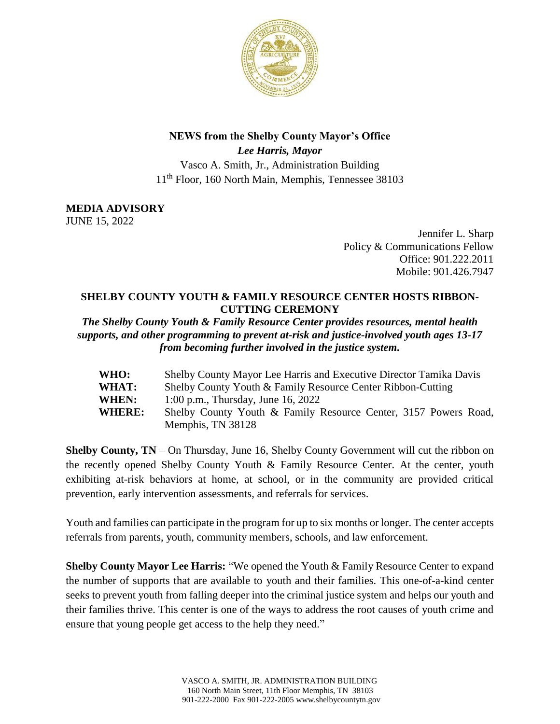

## **NEWS from the Shelby County Mayor's Office**

*Lee Harris, Mayor* Vasco A. Smith, Jr., Administration Building 11th Floor, 160 North Main, Memphis, Tennessee 38103

**MEDIA ADVISORY**

JUNE 15, 2022

Jennifer L. Sharp Policy & Communications Fellow Office: 901.222.2011 Mobile: 901.426.7947

## **SHELBY COUNTY YOUTH & FAMILY RESOURCE CENTER HOSTS RIBBON-CUTTING CEREMONY**

*The Shelby County Youth & Family Resource Center provides resources, mental health supports, and other programming to prevent at-risk and justice-involved youth ages 13-17 from becoming further involved in the justice system.*

| <b>WHO:</b>   | Shelby County Mayor Lee Harris and Executive Director Tamika Davis |
|---------------|--------------------------------------------------------------------|
| <b>WHAT:</b>  | Shelby County Youth & Family Resource Center Ribbon-Cutting        |
| <b>WHEN:</b>  | 1:00 p.m., Thursday, June 16, 2022                                 |
| <b>WHERE:</b> | Shelby County Youth & Family Resource Center, 3157 Powers Road,    |
|               | Memphis, TN 38128                                                  |

**Shelby County, TN** – On Thursday, June 16, Shelby County Government will cut the ribbon on the recently opened Shelby County Youth & Family Resource Center. At the center, youth exhibiting at-risk behaviors at home, at school, or in the community are provided critical prevention, early intervention assessments, and referrals for services.

Youth and families can participate in the program for up to six months or longer. The center accepts referrals from parents, youth, community members, schools, and law enforcement.

**Shelby County Mayor Lee Harris:** "We opened the Youth & Family Resource Center to expand the number of supports that are available to youth and their families. This one-of-a-kind center seeks to prevent youth from falling deeper into the criminal justice system and helps our youth and their families thrive. This center is one of the ways to address the root causes of youth crime and ensure that young people get access to the help they need."